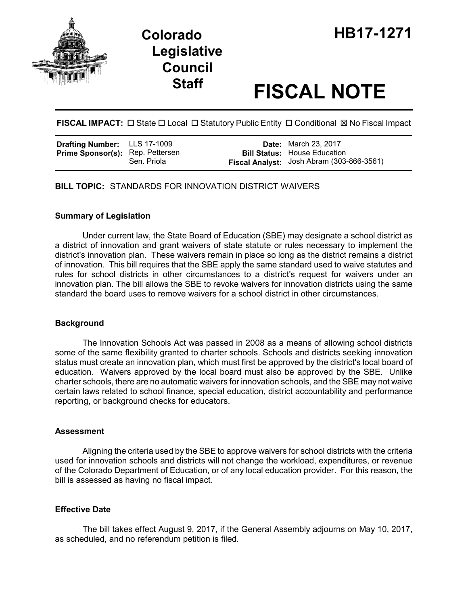



# **Staff FISCAL NOTE**

**FISCAL IMPACT:**  $\Box$  State  $\Box$  Local  $\Box$  Statutory Public Entity  $\Box$  Conditional  $\boxtimes$  No Fiscal Impact

| <b>Drafting Number:</b> LLS 17-1009     |             | <b>Date:</b> March 23, 2017                                                      |
|-----------------------------------------|-------------|----------------------------------------------------------------------------------|
| <b>Prime Sponsor(s): Rep. Pettersen</b> | Sen. Priola | <b>Bill Status:</b> House Education<br>Fiscal Analyst: Josh Abram (303-866-3561) |

**BILL TOPIC:** STANDARDS FOR INNOVATION DISTRICT WAIVERS

#### **Summary of Legislation**

Under current law, the State Board of Education (SBE) may designate a school district as a district of innovation and grant waivers of state statute or rules necessary to implement the district's innovation plan. These waivers remain in place so long as the district remains a district of innovation. This bill requires that the SBE apply the same standard used to waive statutes and rules for school districts in other circumstances to a district's request for waivers under an innovation plan. The bill allows the SBE to revoke waivers for innovation districts using the same standard the board uses to remove waivers for a school district in other circumstances.

## **Background**

The Innovation Schools Act was passed in 2008 as a means of allowing school districts some of the same flexibility granted to charter schools. Schools and districts seeking innovation status must create an innovation plan, which must first be approved by the district's local board of education. Waivers approved by the local board must also be approved by the SBE. Unlike charter schools, there are no automatic waivers for innovation schools, and the SBE may not waive certain laws related to school finance, special education, district accountability and performance reporting, or background checks for educators.

#### **Assessment**

Aligning the criteria used by the SBE to approve waivers for school districts with the criteria used for innovation schools and districts will not change the workload, expenditures, or revenue of the Colorado Department of Education, or of any local education provider. For this reason, the bill is assessed as having no fiscal impact.

#### **Effective Date**

The bill takes effect August 9, 2017, if the General Assembly adjourns on May 10, 2017, as scheduled, and no referendum petition is filed.